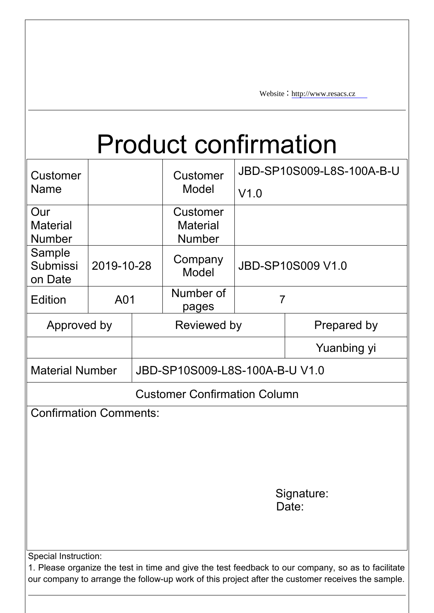Website: [http://www.resacs.cz](http://www.jiabaida.com)

# Product confirmation

| Customer<br><b>Name</b>                 |             |  | <b>Customer</b><br>Model                            | JBD-SP10S009-L8S-100A-B-U<br>V1.0 |                                                                                                    |  |  |  |  |
|-----------------------------------------|-------------|--|-----------------------------------------------------|-----------------------------------|----------------------------------------------------------------------------------------------------|--|--|--|--|
| Our<br><b>Material</b><br><b>Number</b> |             |  | <b>Customer</b><br><b>Material</b><br><b>Number</b> |                                   |                                                                                                    |  |  |  |  |
| Sample<br><b>Submissi</b><br>on Date    | 2019-10-28  |  | Company<br>Model                                    |                                   | JBD-SP10S009 V1.0                                                                                  |  |  |  |  |
| <b>Edition</b>                          | A01         |  | Number of<br>pages                                  |                                   | $\overline{7}$                                                                                     |  |  |  |  |
|                                         | Approved by |  |                                                     | Reviewed by                       | Prepared by                                                                                        |  |  |  |  |
|                                         |             |  |                                                     |                                   | Yuanbing yi                                                                                        |  |  |  |  |
| <b>Material Number</b>                  |             |  | JBD-SP10S009-L8S-100A-B-U V1.0                      |                                   |                                                                                                    |  |  |  |  |
|                                         |             |  | <b>Customer Confirmation Column</b>                 |                                   |                                                                                                    |  |  |  |  |
| <b>Confirmation Comments:</b>           |             |  |                                                     |                                   | Signature:<br>Date:                                                                                |  |  |  |  |
| Special Instruction:                    |             |  |                                                     |                                   |                                                                                                    |  |  |  |  |
|                                         |             |  |                                                     |                                   | 1. Please organize the test in time and give the test feedback to our company, so as to facilitate |  |  |  |  |

our company to arrange the follow-up work of this project after the customer receives the sample.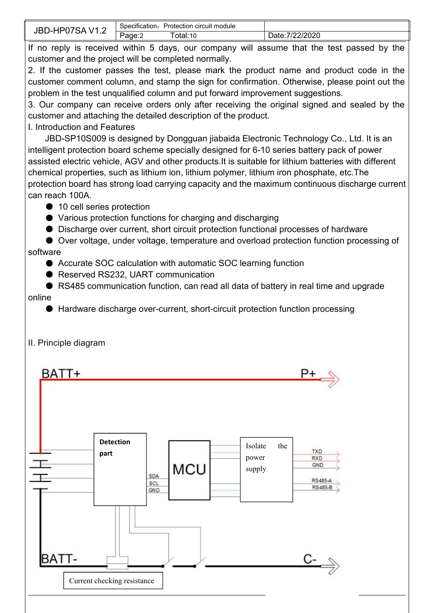| $\mathbf{r}$<br>$\overline{ }$<br>. . | . .<br>Specification: | Protection circuit module |                          |
|---------------------------------------|-----------------------|---------------------------|--------------------------|
| . SH<br>v<br>. .                      | -<br>age:2            | otal:10                   | 7/22/2020<br>-<br>Date:/ |

If no reply is received within 5 days, our company will assume that the test passed by the customer and the project will be completed normally.

2. If the customer passes the test, please mark the product name and product code in the customer comment column, and stamp the sign for confirmation. Otherwise, please point out the problem in the test unqualified column and put forward improvement suggestions.

3. Our company can receive orders only after receiving the original signed and sealed by the customer and attaching the detailed description of the product.

I. Introduction and Features

JBD-SP10S009 is designed by Dongguan jiabaida Electronic Technology Co., Ltd. It is an intelligent protection board scheme specially designed for 6-10 series battery pack of power assisted electric vehicle, AGV and other products.It is suitable for lithium batteries with different chemical properties, such as lithium ion, lithium polymer, lithium iron phosphate, etc.The protection board has strong load carrying capacity and the maximum continuous discharge current can reach 100A.

- 10 cell series protection
- Various protection functions for charging and discharging
- Discharge over current, short circuit protection functional processes of hardware

● Over voltage, under voltage, temperature and overload protection function processing of software

- Accurate SOC calculation with automatic SOC learning function
- Reserved RS232, UART communication
- RS485 communication function, can read all data of battery in real time and upgrade online
	- Hardware discharge over-current, short-circuit protection function processing



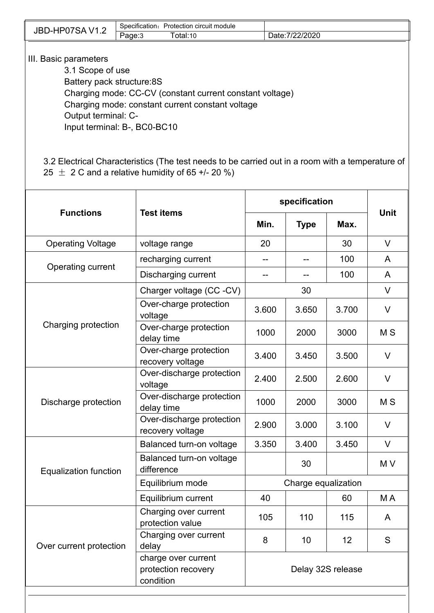| JBD-HP07SAV1.2                                           | Specification: Protection circuit module |                                                  |                 |  |  |  |  |  |  |  |
|----------------------------------------------------------|------------------------------------------|--------------------------------------------------|-----------------|--|--|--|--|--|--|--|
|                                                          | Page:3                                   | Total:10                                         | Date: 7/22/2020 |  |  |  |  |  |  |  |
|                                                          |                                          |                                                  |                 |  |  |  |  |  |  |  |
| III. Basic parameters                                    |                                          |                                                  |                 |  |  |  |  |  |  |  |
| 3.1 Scope of use                                         |                                          |                                                  |                 |  |  |  |  |  |  |  |
|                                                          | Battery pack structure:8S                |                                                  |                 |  |  |  |  |  |  |  |
| Charging mode: CC-CV (constant current constant voltage) |                                          |                                                  |                 |  |  |  |  |  |  |  |
|                                                          |                                          | Charging mode: constant current constant voltage |                 |  |  |  |  |  |  |  |
| Output terminal: C-                                      |                                          |                                                  |                 |  |  |  |  |  |  |  |
| Input terminal: B-, BC0-BC10                             |                                          |                                                  |                 |  |  |  |  |  |  |  |
|                                                          |                                          |                                                  |                 |  |  |  |  |  |  |  |

3.2 Electrical Characteristics (The test needs to be carried out in a room with a temperature of 25  $\pm$  2 C and a relative humidity of 65 +/- 20 %)

|                              |                                                         | specification       |       |       |                |  |
|------------------------------|---------------------------------------------------------|---------------------|-------|-------|----------------|--|
| <b>Functions</b>             | <b>Test items</b>                                       | Min.<br><b>Type</b> |       | Max.  | <b>Unit</b>    |  |
| <b>Operating Voltage</b>     | voltage range                                           | 20                  |       | 30    | V              |  |
|                              | recharging current                                      | --                  | --    | 100   | A              |  |
| Operating current            | <b>Discharging current</b>                              | --                  | --    | 100   | A              |  |
|                              | Charger voltage (CC-CV)                                 |                     | 30    |       | V              |  |
|                              | Over-charge protection<br>voltage                       | 3.600               | 3.650 | 3.700 | V              |  |
| Charging protection          | Over-charge protection<br>delay time                    | 1000                | 2000  | 3000  | M <sub>S</sub> |  |
|                              | Over-charge protection<br>recovery voltage              | 3.400               | 3.450 | 3.500 | V              |  |
|                              | Over-discharge protection<br>voltage                    | 2.400               | 2.500 | 2.600 | V              |  |
| Discharge protection         | Over-discharge protection<br>delay time                 | 1000                | 2000  | 3000  | M <sub>S</sub> |  |
|                              | Over-discharge protection<br>recovery voltage           | 2.900               | 3.000 | 3.100 | $\vee$         |  |
|                              | Balanced turn-on voltage                                | 3.350               | 3.400 | 3.450 | V              |  |
| <b>Equalization function</b> | Balanced turn-on voltage<br>difference                  |                     | 30    |       | M V            |  |
|                              | Equilibrium mode                                        | Charge equalization |       |       |                |  |
|                              | Equilibrium current                                     | 40                  |       | 60    | M A            |  |
|                              | Charging over current<br>protection value               | 105                 | 110   | 115   | A              |  |
| Over current protection      | Charging over current<br>delay                          | 8                   | 10    | 12    | S              |  |
|                              | charge over current<br>protection recovery<br>condition | Delay 32S release   |       |       |                |  |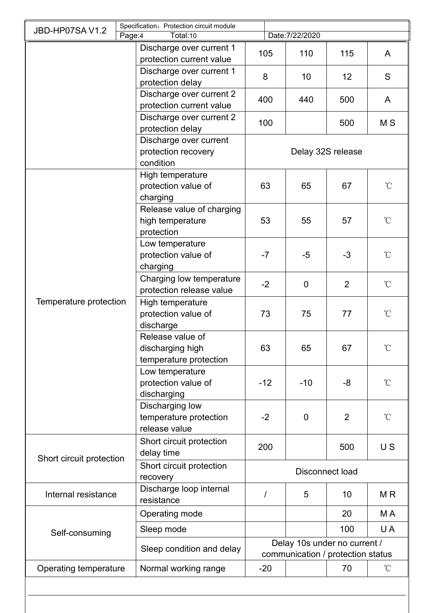| JBD-HP07SAV1.2           | Specification: Protection circuit module                       |                   |                                                                   |                 |                   |  |  |  |
|--------------------------|----------------------------------------------------------------|-------------------|-------------------------------------------------------------------|-----------------|-------------------|--|--|--|
|                          | Total:10<br>Page:4                                             |                   | Date: 7/22/2020                                                   |                 |                   |  |  |  |
|                          | Discharge over current 1<br>protection current value           | 105               | 110                                                               | 115             | $\mathsf{A}$      |  |  |  |
|                          | Discharge over current 1<br>protection delay                   | 8                 | 10 <sup>1</sup>                                                   | 12              | S                 |  |  |  |
|                          | Discharge over current 2<br>protection current value           | 400               | 440                                                               | 500             | $\mathsf{A}$      |  |  |  |
|                          | Discharge over current 2<br>protection delay                   | 100               |                                                                   | 500             | M S               |  |  |  |
|                          | Discharge over current<br>protection recovery<br>condition     | Delay 32S release |                                                                   |                 |                   |  |  |  |
|                          | High temperature<br>protection value of<br>charging            | 63                | 65                                                                | 67              | $\rm ^{\circ}C$   |  |  |  |
|                          | Release value of charging<br>high temperature<br>protection    | 53                | 55                                                                | 57              | $\rm ^{\circ}C$   |  |  |  |
|                          | Low temperature<br>protection value of<br>charging             | $-7$              | $-5$                                                              | $-3$            | $\rm ^{\circ}\!C$ |  |  |  |
|                          | Charging low temperature<br>protection release value           | $-2$              | $\overline{0}$                                                    | $\overline{2}$  | $\rm ^{\circ}C$   |  |  |  |
| Temperature protection   | High temperature<br>protection value of<br>discharge           | 73                | 75                                                                | 77              | $\rm ^{\circ}\!C$ |  |  |  |
|                          | Release value of<br>discharging high<br>temperature protection | 63                | 65                                                                | 67              |                   |  |  |  |
|                          | Low temperature<br>protection value of<br>discharging          | $-12$             | $-10$                                                             | $-8$            | $\rm ^{\circ}\!C$ |  |  |  |
|                          | Discharging low<br>temperature protection<br>release value     | $-2$              | $\mathbf 0$                                                       | $\overline{2}$  | $\rm ^{\circ}\!C$ |  |  |  |
|                          | Short circuit protection<br>delay time                         | 200               |                                                                   | 500             | US                |  |  |  |
| Short circuit protection | Short circuit protection<br>recovery                           | Disconnect load   |                                                                   |                 |                   |  |  |  |
| Internal resistance      | Discharge loop internal<br>resistance                          |                   | 5                                                                 | 10 <sup>°</sup> | M <sub>R</sub>    |  |  |  |
|                          | Operating mode                                                 |                   |                                                                   | 20              | M A               |  |  |  |
| Self-consuming           | Sleep mode                                                     |                   |                                                                   | 100             | U A               |  |  |  |
|                          | Sleep condition and delay                                      |                   | Delay 10s under no current /<br>communication / protection status |                 |                   |  |  |  |
| Operating temperature    | Normal working range                                           | $-20$             |                                                                   | 70              | $\rm ^{\circ}C$   |  |  |  |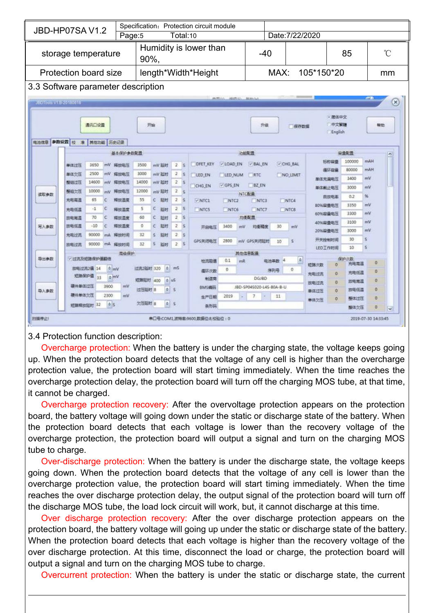| Specification: Protection circuit module<br><b>JBD-HP07SA V1.2</b><br>Date: 7/22/2020<br>Total:10<br>Page:5<br>Humidity is lower than<br>$\rm ^{\circ}C$<br>85<br>storage temperature<br>$-40$<br>90%,<br>length*Width*Height<br>MAX:<br>105*150*20<br><b>Protection board size</b><br>mm<br>3.3 Software parameter description<br><b>AROL BRIDE BEACH</b><br><b>City</b><br>$\circledast$<br>JEDTools VTB-2018081B<br>• 简体中文<br>中文家雄<br>通讯口设置<br>开始<br>升级<br>精动<br>保存数据<br>English<br>电池信息 参数设置 校 准 其他功能 历史记录<br>基本保护参数配置<br>容量配置<br>功能配置<br>×.<br>mAH<br>100000<br>标称盘置<br>V CHG BAL<br><b>DFET KEY</b><br>V BAL EN<br>V LOAD EN<br>3500<br>2<br>3650<br>单体过压<br>with<br>mV BEB1<br>释放电压<br>80000<br>mAH<br>摄环容量<br>2500<br>3000<br>mV<br>2<br>单体欠压<br>程控电压<br>mV 延时<br>LED_EN<br>RTC<br>NO LIMIT<br>LED_NUM<br>mV<br>3400<br>单体充满电压<br>14600<br>14000<br>2 <sup>5</sup><br>整组过压<br>释放电压<br>mV延时<br>mV<br>V GPS EN<br>BZ EN<br>CHG EN<br>mV<br>3000<br>单体板止电压<br>整组欠压<br>10000<br>12000<br>释放电压<br>mV 延时<br>$\mathbb{Z}$<br>mV<br><b>NTC作業</b><br>读取参数<br>0.2<br>96<br>自放电率<br>65<br>55<br>2S<br>充电高温<br>释放温度<br>疑財<br>C<br>$\epsilon$<br>$\vee$ NTC1<br>NTC4<br>INTC2<br>NTC3<br>mV<br>80%霹靂电压<br>3350<br>25<br>$\epsilon$<br>c<br>$-1$<br>5<br>EERT<br>释放温度<br>充电低温<br>NTC5<br>NTC6<br>NTC7<br>NTC8<br>mV<br>60%容量电压<br>3300<br>70<br>2 <sup>5</sup><br>c<br>60<br>c<br>均衡配置<br>延时<br>胶电离温<br>媒故酒度<br>3100<br>mV<br>40%容量电压<br>$-10$<br>25<br>c<br>班时<br>写入参数<br>放电低温<br>IC<br>释放温度<br>$\Omega$<br>3400<br>30<br>开启电压<br>mv<br>均衡積度<br>mV<br>20%容量电压<br>3000<br>mV<br>90000<br>2S<br>充电过流<br>32<br>$\mathbf{s}$<br>証时<br>释放时间<br>mA<br>30<br>开关控制时间<br>2800<br>mV GPS关闭图时<br>GPS关闭电压<br>10<br>$S$ .<br>32<br>延时<br>2.5<br>90000 mA<br>释放时间<br>放电过流<br>10<br>LED工作时间<br>其他信息配置<br>高級保护<br>导出参数<br>√ 过高及短路保护道期倍<br>保护次数<br>$\phi$<br>0.1<br>中油离数<br>$\Delta$<br>检流用值<br>mR<br>$\Omega$<br>充电高温<br>短路次数<br>'n<br>过流2延时 320 6 mS<br>$\frac{1}{2}$ mV<br>放电过流2值 14<br>$\alpha$<br>$\Omega$<br>序列号<br>偏环次数<br>$\Omega$<br>充电低温<br>充电过高<br>短路保护值 33<br><b>b</b> mV<br><b>DGJBD</b><br>制造商<br>短路延时 400 0 uS<br>$\Omega$<br>放电离温<br>放电过流<br>硬件单体过压<br>3900<br>mV<br>JBD-SP04S020-L4S-80A-B-U<br>BMS编码<br>$\circ$ s<br>o<br>过压延时 8<br>放电低温<br>导入参数<br>单体过压<br>硬件单体欠压<br>2300<br>mV<br>2019<br>7<br>11<br>生产日期<br>DC.<br>$\sigma$<br>整体过压<br>$\Omega$<br>单体欠压<br>$\boxed{a}$ s<br>欠压延时 8<br>0S<br>短路释放延时 32<br>条形码<br>聖体欠压<br>$\theta$<br>w<br>串口号:COM1波特率:9600,数据位:8,校验位:0<br>2019-07-30 14:33:45 |       |  |  |  |  |  |  |  |  |  |
|---------------------------------------------------------------------------------------------------------------------------------------------------------------------------------------------------------------------------------------------------------------------------------------------------------------------------------------------------------------------------------------------------------------------------------------------------------------------------------------------------------------------------------------------------------------------------------------------------------------------------------------------------------------------------------------------------------------------------------------------------------------------------------------------------------------------------------------------------------------------------------------------------------------------------------------------------------------------------------------------------------------------------------------------------------------------------------------------------------------------------------------------------------------------------------------------------------------------------------------------------------------------------------------------------------------------------------------------------------------------------------------------------------------------------------------------------------------------------------------------------------------------------------------------------------------------------------------------------------------------------------------------------------------------------------------------------------------------------------------------------------------------------------------------------------------------------------------------------------------------------------------------------------------------------------------------------------------------------------------------------------------------------------------------------------------------------------------------------------------------------------------------------------------------------------------------------------------------------------------------------------------------------------------------------------------------------------------------------------------------------------------------------------------------------------------------------------------------------------------------|-------|--|--|--|--|--|--|--|--|--|
|                                                                                                                                                                                                                                                                                                                                                                                                                                                                                                                                                                                                                                                                                                                                                                                                                                                                                                                                                                                                                                                                                                                                                                                                                                                                                                                                                                                                                                                                                                                                                                                                                                                                                                                                                                                                                                                                                                                                                                                                                                                                                                                                                                                                                                                                                                                                                                                                                                                                                             |       |  |  |  |  |  |  |  |  |  |
|                                                                                                                                                                                                                                                                                                                                                                                                                                                                                                                                                                                                                                                                                                                                                                                                                                                                                                                                                                                                                                                                                                                                                                                                                                                                                                                                                                                                                                                                                                                                                                                                                                                                                                                                                                                                                                                                                                                                                                                                                                                                                                                                                                                                                                                                                                                                                                                                                                                                                             |       |  |  |  |  |  |  |  |  |  |
|                                                                                                                                                                                                                                                                                                                                                                                                                                                                                                                                                                                                                                                                                                                                                                                                                                                                                                                                                                                                                                                                                                                                                                                                                                                                                                                                                                                                                                                                                                                                                                                                                                                                                                                                                                                                                                                                                                                                                                                                                                                                                                                                                                                                                                                                                                                                                                                                                                                                                             |       |  |  |  |  |  |  |  |  |  |
|                                                                                                                                                                                                                                                                                                                                                                                                                                                                                                                                                                                                                                                                                                                                                                                                                                                                                                                                                                                                                                                                                                                                                                                                                                                                                                                                                                                                                                                                                                                                                                                                                                                                                                                                                                                                                                                                                                                                                                                                                                                                                                                                                                                                                                                                                                                                                                                                                                                                                             |       |  |  |  |  |  |  |  |  |  |
|                                                                                                                                                                                                                                                                                                                                                                                                                                                                                                                                                                                                                                                                                                                                                                                                                                                                                                                                                                                                                                                                                                                                                                                                                                                                                                                                                                                                                                                                                                                                                                                                                                                                                                                                                                                                                                                                                                                                                                                                                                                                                                                                                                                                                                                                                                                                                                                                                                                                                             |       |  |  |  |  |  |  |  |  |  |
|                                                                                                                                                                                                                                                                                                                                                                                                                                                                                                                                                                                                                                                                                                                                                                                                                                                                                                                                                                                                                                                                                                                                                                                                                                                                                                                                                                                                                                                                                                                                                                                                                                                                                                                                                                                                                                                                                                                                                                                                                                                                                                                                                                                                                                                                                                                                                                                                                                                                                             |       |  |  |  |  |  |  |  |  |  |
|                                                                                                                                                                                                                                                                                                                                                                                                                                                                                                                                                                                                                                                                                                                                                                                                                                                                                                                                                                                                                                                                                                                                                                                                                                                                                                                                                                                                                                                                                                                                                                                                                                                                                                                                                                                                                                                                                                                                                                                                                                                                                                                                                                                                                                                                                                                                                                                                                                                                                             |       |  |  |  |  |  |  |  |  |  |
|                                                                                                                                                                                                                                                                                                                                                                                                                                                                                                                                                                                                                                                                                                                                                                                                                                                                                                                                                                                                                                                                                                                                                                                                                                                                                                                                                                                                                                                                                                                                                                                                                                                                                                                                                                                                                                                                                                                                                                                                                                                                                                                                                                                                                                                                                                                                                                                                                                                                                             |       |  |  |  |  |  |  |  |  |  |
|                                                                                                                                                                                                                                                                                                                                                                                                                                                                                                                                                                                                                                                                                                                                                                                                                                                                                                                                                                                                                                                                                                                                                                                                                                                                                                                                                                                                                                                                                                                                                                                                                                                                                                                                                                                                                                                                                                                                                                                                                                                                                                                                                                                                                                                                                                                                                                                                                                                                                             |       |  |  |  |  |  |  |  |  |  |
|                                                                                                                                                                                                                                                                                                                                                                                                                                                                                                                                                                                                                                                                                                                                                                                                                                                                                                                                                                                                                                                                                                                                                                                                                                                                                                                                                                                                                                                                                                                                                                                                                                                                                                                                                                                                                                                                                                                                                                                                                                                                                                                                                                                                                                                                                                                                                                                                                                                                                             |       |  |  |  |  |  |  |  |  |  |
|                                                                                                                                                                                                                                                                                                                                                                                                                                                                                                                                                                                                                                                                                                                                                                                                                                                                                                                                                                                                                                                                                                                                                                                                                                                                                                                                                                                                                                                                                                                                                                                                                                                                                                                                                                                                                                                                                                                                                                                                                                                                                                                                                                                                                                                                                                                                                                                                                                                                                             |       |  |  |  |  |  |  |  |  |  |
|                                                                                                                                                                                                                                                                                                                                                                                                                                                                                                                                                                                                                                                                                                                                                                                                                                                                                                                                                                                                                                                                                                                                                                                                                                                                                                                                                                                                                                                                                                                                                                                                                                                                                                                                                                                                                                                                                                                                                                                                                                                                                                                                                                                                                                                                                                                                                                                                                                                                                             |       |  |  |  |  |  |  |  |  |  |
|                                                                                                                                                                                                                                                                                                                                                                                                                                                                                                                                                                                                                                                                                                                                                                                                                                                                                                                                                                                                                                                                                                                                                                                                                                                                                                                                                                                                                                                                                                                                                                                                                                                                                                                                                                                                                                                                                                                                                                                                                                                                                                                                                                                                                                                                                                                                                                                                                                                                                             |       |  |  |  |  |  |  |  |  |  |
|                                                                                                                                                                                                                                                                                                                                                                                                                                                                                                                                                                                                                                                                                                                                                                                                                                                                                                                                                                                                                                                                                                                                                                                                                                                                                                                                                                                                                                                                                                                                                                                                                                                                                                                                                                                                                                                                                                                                                                                                                                                                                                                                                                                                                                                                                                                                                                                                                                                                                             |       |  |  |  |  |  |  |  |  |  |
|                                                                                                                                                                                                                                                                                                                                                                                                                                                                                                                                                                                                                                                                                                                                                                                                                                                                                                                                                                                                                                                                                                                                                                                                                                                                                                                                                                                                                                                                                                                                                                                                                                                                                                                                                                                                                                                                                                                                                                                                                                                                                                                                                                                                                                                                                                                                                                                                                                                                                             |       |  |  |  |  |  |  |  |  |  |
|                                                                                                                                                                                                                                                                                                                                                                                                                                                                                                                                                                                                                                                                                                                                                                                                                                                                                                                                                                                                                                                                                                                                                                                                                                                                                                                                                                                                                                                                                                                                                                                                                                                                                                                                                                                                                                                                                                                                                                                                                                                                                                                                                                                                                                                                                                                                                                                                                                                                                             |       |  |  |  |  |  |  |  |  |  |
|                                                                                                                                                                                                                                                                                                                                                                                                                                                                                                                                                                                                                                                                                                                                                                                                                                                                                                                                                                                                                                                                                                                                                                                                                                                                                                                                                                                                                                                                                                                                                                                                                                                                                                                                                                                                                                                                                                                                                                                                                                                                                                                                                                                                                                                                                                                                                                                                                                                                                             |       |  |  |  |  |  |  |  |  |  |
|                                                                                                                                                                                                                                                                                                                                                                                                                                                                                                                                                                                                                                                                                                                                                                                                                                                                                                                                                                                                                                                                                                                                                                                                                                                                                                                                                                                                                                                                                                                                                                                                                                                                                                                                                                                                                                                                                                                                                                                                                                                                                                                                                                                                                                                                                                                                                                                                                                                                                             |       |  |  |  |  |  |  |  |  |  |
|                                                                                                                                                                                                                                                                                                                                                                                                                                                                                                                                                                                                                                                                                                                                                                                                                                                                                                                                                                                                                                                                                                                                                                                                                                                                                                                                                                                                                                                                                                                                                                                                                                                                                                                                                                                                                                                                                                                                                                                                                                                                                                                                                                                                                                                                                                                                                                                                                                                                                             |       |  |  |  |  |  |  |  |  |  |
|                                                                                                                                                                                                                                                                                                                                                                                                                                                                                                                                                                                                                                                                                                                                                                                                                                                                                                                                                                                                                                                                                                                                                                                                                                                                                                                                                                                                                                                                                                                                                                                                                                                                                                                                                                                                                                                                                                                                                                                                                                                                                                                                                                                                                                                                                                                                                                                                                                                                                             |       |  |  |  |  |  |  |  |  |  |
|                                                                                                                                                                                                                                                                                                                                                                                                                                                                                                                                                                                                                                                                                                                                                                                                                                                                                                                                                                                                                                                                                                                                                                                                                                                                                                                                                                                                                                                                                                                                                                                                                                                                                                                                                                                                                                                                                                                                                                                                                                                                                                                                                                                                                                                                                                                                                                                                                                                                                             |       |  |  |  |  |  |  |  |  |  |
|                                                                                                                                                                                                                                                                                                                                                                                                                                                                                                                                                                                                                                                                                                                                                                                                                                                                                                                                                                                                                                                                                                                                                                                                                                                                                                                                                                                                                                                                                                                                                                                                                                                                                                                                                                                                                                                                                                                                                                                                                                                                                                                                                                                                                                                                                                                                                                                                                                                                                             |       |  |  |  |  |  |  |  |  |  |
|                                                                                                                                                                                                                                                                                                                                                                                                                                                                                                                                                                                                                                                                                                                                                                                                                                                                                                                                                                                                                                                                                                                                                                                                                                                                                                                                                                                                                                                                                                                                                                                                                                                                                                                                                                                                                                                                                                                                                                                                                                                                                                                                                                                                                                                                                                                                                                                                                                                                                             |       |  |  |  |  |  |  |  |  |  |
|                                                                                                                                                                                                                                                                                                                                                                                                                                                                                                                                                                                                                                                                                                                                                                                                                                                                                                                                                                                                                                                                                                                                                                                                                                                                                                                                                                                                                                                                                                                                                                                                                                                                                                                                                                                                                                                                                                                                                                                                                                                                                                                                                                                                                                                                                                                                                                                                                                                                                             |       |  |  |  |  |  |  |  |  |  |
|                                                                                                                                                                                                                                                                                                                                                                                                                                                                                                                                                                                                                                                                                                                                                                                                                                                                                                                                                                                                                                                                                                                                                                                                                                                                                                                                                                                                                                                                                                                                                                                                                                                                                                                                                                                                                                                                                                                                                                                                                                                                                                                                                                                                                                                                                                                                                                                                                                                                                             |       |  |  |  |  |  |  |  |  |  |
|                                                                                                                                                                                                                                                                                                                                                                                                                                                                                                                                                                                                                                                                                                                                                                                                                                                                                                                                                                                                                                                                                                                                                                                                                                                                                                                                                                                                                                                                                                                                                                                                                                                                                                                                                                                                                                                                                                                                                                                                                                                                                                                                                                                                                                                                                                                                                                                                                                                                                             | 扫描停止! |  |  |  |  |  |  |  |  |  |
|                                                                                                                                                                                                                                                                                                                                                                                                                                                                                                                                                                                                                                                                                                                                                                                                                                                                                                                                                                                                                                                                                                                                                                                                                                                                                                                                                                                                                                                                                                                                                                                                                                                                                                                                                                                                                                                                                                                                                                                                                                                                                                                                                                                                                                                                                                                                                                                                                                                                                             |       |  |  |  |  |  |  |  |  |  |

### 3.4 Protection function description:

Overcharge protection: When the battery is under the charging state, the voltage keeps going up. When the protection board detects that the voltage of any cell is higher than the overcharge protection value, the protection board will start timing immediately. When the time reaches the overcharge protection delay, the protection board will turn off the charging MOS tube, at that time, it cannot be charged.

Overcharge protection recovery: After the overvoltage protection appears on the protection board, the battery voltage will going down under the static or discharge state of the battery. When the protection board detects that each voltage is lower than the recovery voltage of the overcharge protection, the protection board will output a signal and turn on the charging MOS tube to charge.

Over-discharge protection: When the battery is under the discharge state, the voltage keeps going down. When the protection board detects that the voltage of any cell is lower than the overcharge protection value, the protection board will start timing immediately. When the time reaches the over discharge protection delay, the output signal of the protection board will turn off the discharge MOS tube, the load lock circuit will work, but, it cannot discharge at this time.

Over discharge protection recovery: After the over discharge protection appears on the protection board, the battery voltage will going up under the static or discharge state of the battery. When the protection board detects that each voltage is higher than the recovery voltage of the over discharge protection. At this time, disconnect the load or charge, the protection board will output a signal and turn on the charging MOS tube to charge.

Overcurrent protection: When the battery is under the static or discharge state, the current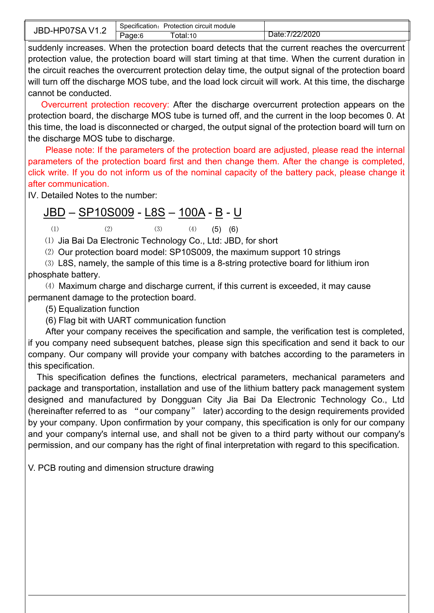| JB'<br>,,<br>$J-F$<br>v<br>∸י | circuit module<br>Specification.<br>Protection |                         |
|-------------------------------|------------------------------------------------|-------------------------|
| . .                           | otal:10 <sup>.</sup><br>'aɑe:6                 | 2/2020<br>$\sim$<br>ине |

suddenly increases. When the protection board detects that the current reaches the overcurrent protection value, the protection board will start timing at that time. When the current duration in the circuit reaches the overcurrent protection delay time, the output signal of the protection board will turn off the discharge MOS tube, and the load lock circuit will work. At this time, the discharge cannot be conducted.

Overcurrent protection recovery: After the discharge overcurrent protection appears on the protection board, the discharge MOS tube is turned off, and the current in the loop becomes 0. At this time, the load is disconnected or charged, the output signal of the protection board will turn on the discharge MOS tube to discharge.

Please note: If the parameters of the protection board are adjusted, please read the internal parameters of the protection board first and then change them. After the change is completed, click write. If you do not inform us of the nominal capacity of the battery pack, please change it after communication.

IV. Detailed Notes to the number:

## <u>JBD – SP10S009</u> - <u>L8S – 100A - B</u> - <u>U</u>

(1) (2) (3) (4) (5) (6)

⑴ Jia Bai Da Electronic Technology Co., Ltd: JBD, for short

⑵ Our protection board model: SP10S009, the maximum support 10 strings

⑶ L8S, namely, the sample of this time is a 8-string protective board forlithium iron phosphate battery.

(4) Maximum charge and discharge current, if this current is exceeded, it may cause permanent damage to the protection board.

(5) Equalization function

(6) Flag bit with UART communication function

After your company receives the specification and sample, the verification test is completed, if you company need subsequent batches, please sign this specification and send it back to our company. Our company will provide your company with batches according to the parameters in this specification.

This specification defines the functions, electrical parameters, mechanical parameters and package and transportation, installation and use of the lithium battery pack management system designed and manufactured by Dongguan City Jia Bai Da Electronic Technology Co., Ltd (hereinafter referred to as "our company" later) according to the design requirements provided by your company. Upon confirmation by your company, this specification is only for our company and your company's internal use, and shall not be given to a third party without our company's permission, and our company has the right of final interpretation with regard to this specification.

V. PCB routing and dimension structure drawing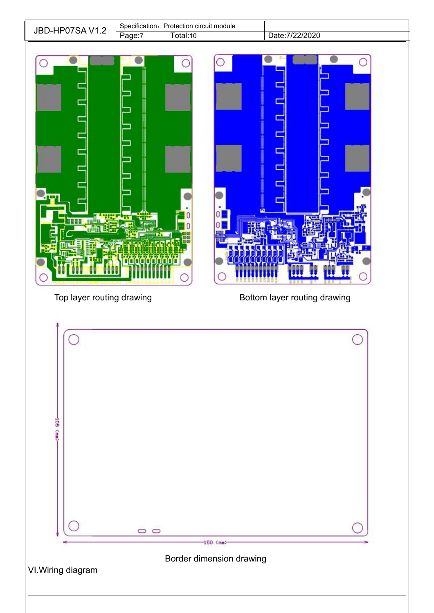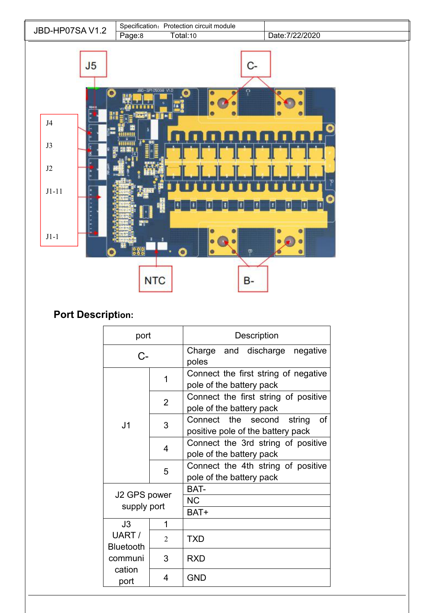

# **Port Description:**

| port                        |                | <b>Description</b>                                                   |  |  |  |  |  |  |  |  |
|-----------------------------|----------------|----------------------------------------------------------------------|--|--|--|--|--|--|--|--|
| C-                          |                | Charge and discharge negative<br>poles                               |  |  |  |  |  |  |  |  |
|                             | 1              | Connect the first string of negative<br>pole of the battery pack     |  |  |  |  |  |  |  |  |
|                             | $\overline{2}$ | Connect the first string of positive<br>pole of the battery pack     |  |  |  |  |  |  |  |  |
| J <sub>1</sub>              | 3              | Connect the second string<br>οf<br>positive pole of the battery pack |  |  |  |  |  |  |  |  |
|                             | 4              | Connect the 3rd string of positive<br>pole of the battery pack       |  |  |  |  |  |  |  |  |
|                             | 5              | Connect the 4th string of positive<br>pole of the battery pack       |  |  |  |  |  |  |  |  |
| J2 GPS power<br>supply port |                | BAT-<br><b>NC</b><br>BAT+                                            |  |  |  |  |  |  |  |  |
| J3                          | 1              |                                                                      |  |  |  |  |  |  |  |  |
| UART /<br><b>Bluetooth</b>  | $\mathfrak{D}$ | <b>TXD</b>                                                           |  |  |  |  |  |  |  |  |
| communi                     | 3              | <b>RXD</b>                                                           |  |  |  |  |  |  |  |  |
| cation<br>port              | 4              | <b>GND</b>                                                           |  |  |  |  |  |  |  |  |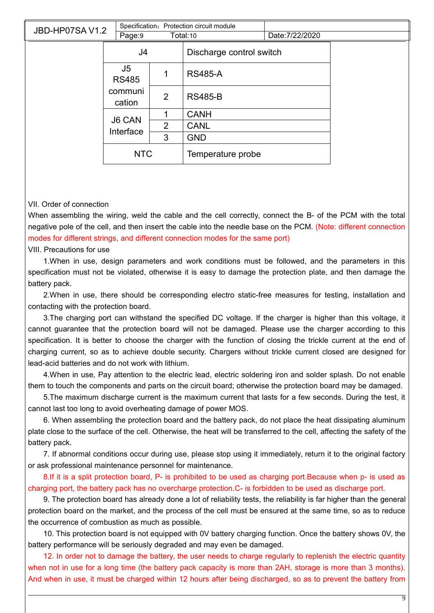| JBD-HP07SAV1.2 | Page:9             |                | Specification: Protection circuit module<br>Total:10 | Date: 7/22/2020 |  |
|----------------|--------------------|----------------|------------------------------------------------------|-----------------|--|
|                | J4                 |                | Discharge control switch                             |                 |  |
|                | J5<br><b>RS485</b> | 1              | <b>RS485-A</b>                                       |                 |  |
|                | communi<br>cation  | $\overline{2}$ | <b>RS485-B</b>                                       |                 |  |
|                | <b>J6 CAN</b>      | 1              | <b>CANH</b>                                          |                 |  |
|                | Interface          | $\overline{2}$ | <b>CANL</b>                                          |                 |  |
|                |                    | 3              | <b>GND</b>                                           |                 |  |
|                | <b>NTC</b>         |                | Temperature probe                                    |                 |  |

#### VII. Order of connection

When assembling the wiring, weld the cable and the cell correctly, connect the B- of the PCM with the total negative pole of the cell, and then insert the cable into the needle base on the PCM. (Note: different connection modes for different strings, and different connection modes for the same port)

VIII. Precautions for use

1.When in use, design parameters and work conditions must be followed, and the parameters in this specification must not be violated, otherwise it is easy to damage the protection plate, and then damage the battery pack.

2.When in use, there should be corresponding electro static-free measures for testing, installation and contacting with the protection board.

3. The charging port can withstand the specified DC voltage. If the charger is higher than this voltage, it cannot guarantee that the protection board will not be damaged. Please use the charger according to this specification. It is better to choose the charger with the function of closing the trickle current at the end of charging current, so as to achieve double security. Chargers without trickle current closed are designed for lead-acid batteries and do not work with lithium.

4.When in use, Pay attention to the electric lead, electric soldering iron and solder splash. Do not enable them to touch the components and parts on the circuit board; otherwise the protection board may be damaged.

5.The maximum discharge current is the maximum current that lasts for a few seconds. During the test, it cannot last too long to avoid overheating damage of power MOS.

6. When assembling the protection board and the battery pack, do not place the heat dissipating aluminum plate close to the surface of the cell. Otherwise, the heat will be transferred to the cell, affecting the safety of the battery pack.

7. If abnormal conditions occur during use, please stop using it immediately, return it to the original factory or ask professional maintenance personnel for maintenance.

8.If it is a split protection board, P- is prohibited to be used as charging port.Because when p- is used as charging port, the battery pack has no overcharge protection.C- is forbidden to be used as discharge port.

9. The protection board has already done a lot of reliability tests, the reliability is far higher than the general protection board on the market, and the process of the cell must be ensured at the same time, so as to reduce the occurrence of combustion as much as possible.<br>10. This protection board is not equipped with 0V battery charging function. Once the battery shows 0V, the

battery performance will be seriously degraded and may even be damaged.

12. In order not to damage the battery, the user needs to charge regularly to replenish the electric quantity when not in use for a long time (the battery pack capacity is more than 2AH, storage is more than 3 months). And when in use, it must be charged within 12 hours after being discharged, so as to prevent the battery from